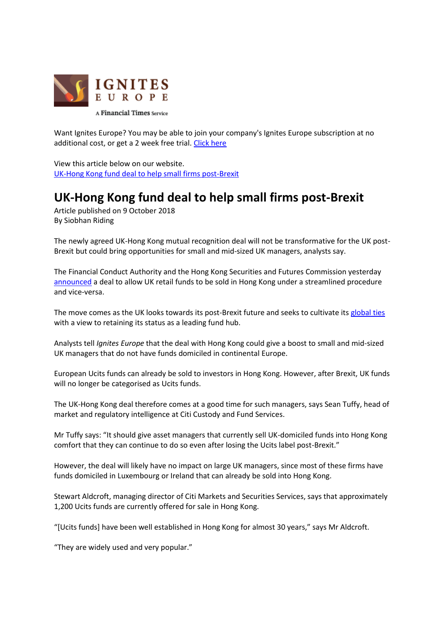

Want Ignites Europe? You may be able to join your company's Ignites Europe subscription at no additional cost, or get a 2 week free trial. [Click here](http://igniteseurope.com/trial)

View this article below on our website. [UK-Hong Kong fund deal to help small firms post-Brexit](http://igniteseurope.com/c/2102143/249603/hong_kong_fund_deal_help_small_firms_post_brexit?referrer_module=emailForwarded&module_order=0) 

## **UK-Hong Kong fund deal to help small firms post-Brexit**

Article published on 9 October 2018 By Siobhan Riding

The newly agreed UK-Hong Kong mutual recognition deal will not be transformative for the UK post-Brexit but could bring opportunities for small and mid-sized UK managers, analysts say.

The Financial Conduct Authority and the Hong Kong Securities and Futures Commission yesterday [announced](http://igniteseurope.com/c/2101883/249793?referrer_module=article) a deal to allow UK retail funds to be sold in Hong Kong under a streamlined procedure and vice-versa.

The move comes as the UK looks towards its post-Brexit future and seeks to cultivate its [global ties](http://igniteseurope.com/c/1926094/227264/?referrer_module=article) with a view to retaining its status as a leading fund hub.

Analysts tell *Ignites Europe* that the deal with Hong Kong could give a boost to small and mid-sized UK managers that do not have funds domiciled in continental Europe.

European Ucits funds can already be sold to investors in Hong Kong. However, after Brexit, UK funds will no longer be categorised as Ucits funds.

The UK-Hong Kong deal therefore comes at a good time for such managers, says Sean Tuffy, head of market and regulatory intelligence at Citi Custody and Fund Services.

Mr Tuffy says: "It should give asset managers that currently sell UK-domiciled funds into Hong Kong comfort that they can continue to do so even after losing the Ucits label post-Brexit."

However, the deal will likely have no impact on large UK managers, since most of these firms have funds domiciled in Luxembourg or Ireland that can already be sold into Hong Kong.

Stewart Aldcroft, managing director of Citi Markets and Securities Services, says that approximately 1,200 Ucits funds are currently offered for sale in Hong Kong.

"[Ucits funds] have been well established in Hong Kong for almost 30 years," says Mr Aldcroft.

"They are widely used and very popular."